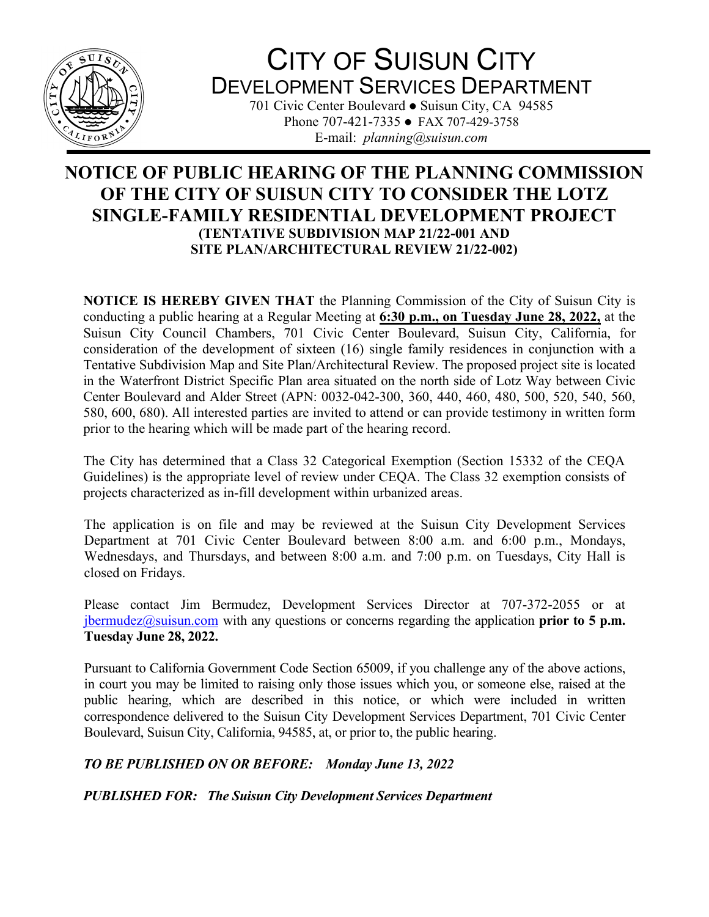

## CITY OF SUISUN CITY DEVELOPMENT SERVICES DEPARTMENT

701 Civic Center Boulevard • Suisun City, CA 94585 Phone 707-421-7335 • FAX 707-429-3758 E-mail: *planning@suisun.com*

## **NOTICE OF PUBLIC HEARING OF THE PLANNING COMMISSION OF THE CITY OF SUISUN CITY TO CONSIDER THE LOTZ SINGLE-FAMILY RESIDENTIAL DEVELOPMENT PROJECT (TENTATIVE SUBDIVISION MAP 21/22-001 AND SITE PLAN/ARCHITECTURAL REVIEW 21/22-002)**

**NOTICE IS HEREBY GIVEN THAT** the Planning Commission of the City of Suisun City is conducting a public hearing at a Regular Meeting at **6:30 p.m., on Tuesday June 28, 2022,** at the Suisun City Council Chambers, 701 Civic Center Boulevard, Suisun City, California, for consideration of the development of sixteen (16) single family residences in conjunction with a Tentative Subdivision Map and Site Plan/Architectural Review. The proposed project site is located in the Waterfront District Specific Plan area situated on the north side of Lotz Way between Civic Center Boulevard and Alder Street (APN: 0032-042-300, 360, 440, 460, 480, 500, 520, 540, 560, 580, 600, 680). All interested parties are invited to attend or can provide testimony in written form prior to the hearing which will be made part of the hearing record.

The City has determined that a Class 32 Categorical Exemption (Section 15332 of the CEQA Guidelines) is the appropriate level of review under CEQA. The Class 32 exemption consists of projects characterized as in-fill development within urbanized areas.

The application is on file and may be reviewed at the Suisun City Development Services Department at 701 Civic Center Boulevard between 8:00 a.m. and 6:00 p.m., Mondays, Wednesdays, and Thursdays, and between 8:00 a.m. and 7:00 p.m. on Tuesdays, City Hall is closed on Fridays.

Please contact Jim Bermudez, Development Services Director at 707-372-2055 or at  $j$ bermudez $@$ suisun.com with any questions or concerns regarding the application **prior to 5 p.m. Tuesday June 28, 2022.**

Pursuant to California Government Code Section 65009, if you challenge any of the above actions, in court you may be limited to raising only those issues which you, or someone else, raised at the public hearing, which are described in this notice, or which were included in written correspondence delivered to the Suisun City Development Services Department, 701 Civic Center Boulevard, Suisun City, California, 94585, at, or prior to, the public hearing.

## *TO BE PUBLISHED ON OR BEFORE: Monday June 13, 2022*

*PUBLISHED FOR: The Suisun City Development Services Department*